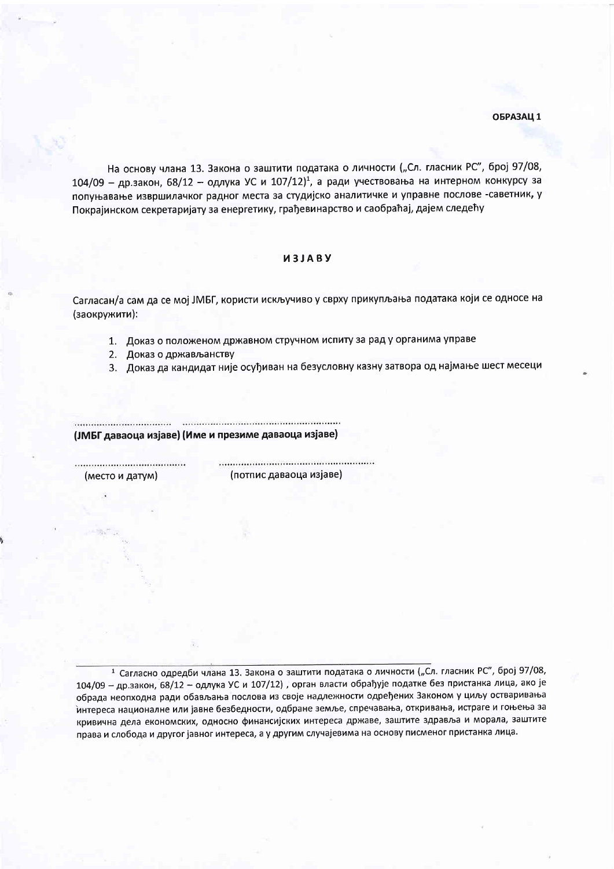На основу члана 13. Закона о заштити података о личности ("Сл. гласник РС", број 97/08,  $104/09$  – др.закон, 68/12 – одлука УС и  $107/12$ )<sup>1</sup>, а ради учествовања на интерном конкурсу за попуњавање извршилачког радног места за студијско аналитичке и управне послове -саветник, у Покрајинском секретаријату за енергетику, грађевинарство и саобраћај, дајем следећу

## *M3JABY*

Сагласан/а сам да се мој ЈМБГ, користи искључиво у сврху прикупљања података који се односе на (заокружити):

1. Доказ о положеном државном стручном испиту за рад у органима управе

- 2. Доказ о држављанству
- 3. Доказ да кандидат није осуђиван на безусловну казну затвора од најмање шест месеци

.................................. (ЈМБГ даваоца изјаве) (Име и презиме даваоца изјаве)

(место и датум)

(потпис даваоца изјаве)

1 Сагласно одредби члана 13. Закона о заштити података о личности ("Сл. гласник РС", број 97/08, 104/09 - др.закон, 68/12 - одлука УС и 107/12), орган власти обрађује податке без пристанка лица, ако је обрада неопходна ради обављања послова из своје надлежности одређених Законом у циљу остваривања интереса националне или јавне безбедности, одбране земље, спречавања, откривања, истраге и гоњења за кривична дела економских, односно финансијских интереса државе, заштите здравља и морала, заштите права и слобода и другог јавног интереса, а у другим случајевима на основу писменог пристанка лица.